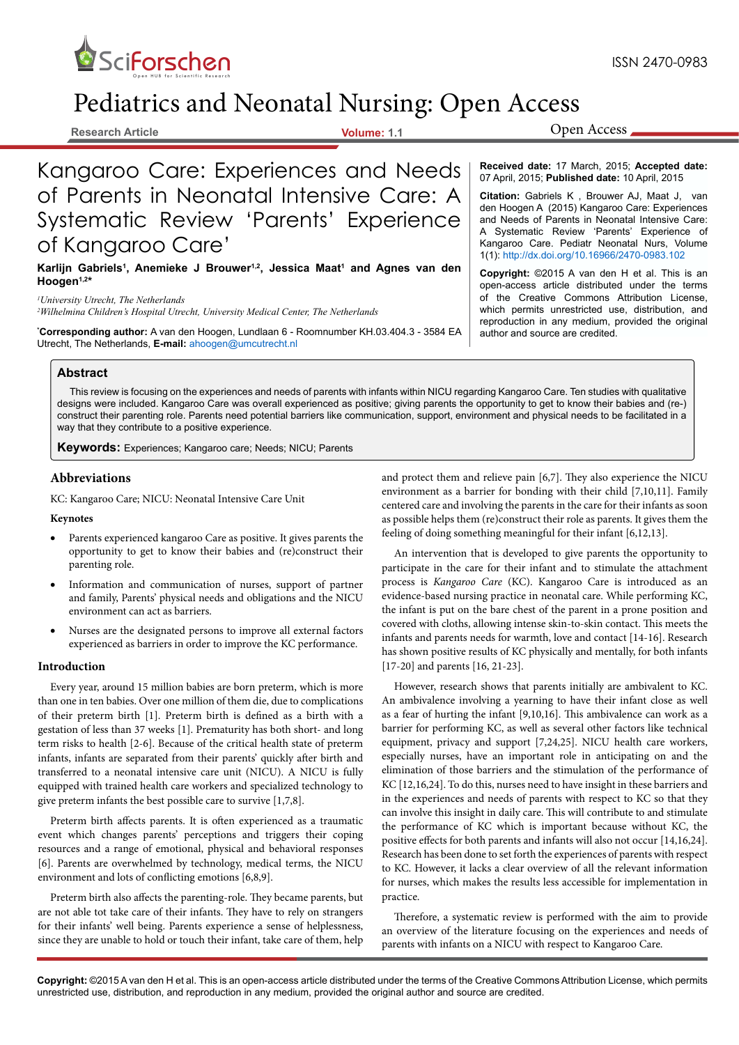

# Pediatrics and Neonatal Nursing: Open Access

**Research Article Volume: 1.1**

Open Access

Kangaroo Care: Experiences and Needs of Parents in Neonatal Intensive Care: A Systematic Review 'Parents' Experience of Kangaroo Care'

Karlijn Gabriels<sup>1</sup>, Anemieke J Brouwer<sup>1,2</sup>, Jessica Maat<sup>1</sup> and Agnes van den **Hoogen1,2\***

*1 University Utrecht, The Netherlands 2 Wilhelmina Children's Hospital Utrecht, University Medical Center, The Netherlands*

**Corresponding author:** A van den Hoogen, Lundlaan 6 - Roomnumber KH.03.404.3 - 3584 EA | author and source are credited. Utrecht, The Netherlands, **E-mail:** ahoogen@umcutrecht.nl

## **Abstract**

This review is focusing on the experiences and needs of parents with infants within NICU regarding Kangaroo Care. Ten studies with qualitative designs were included. Kangaroo Care was overall experienced as positive; giving parents the opportunity to get to know their babies and (re-) construct their parenting role. Parents need potential barriers like communication, support, environment and physical needs to be facilitated in a way that they contribute to a positive experience.

**Keywords:** Experiences; Kangaroo care; Needs; NICU; Parents

## **Abbreviations**

KC: Kangaroo Care; NICU: Neonatal Intensive Care Unit

**Keynotes**

- Parents experienced kangaroo Care as positive. It gives parents the opportunity to get to know their babies and (re)construct their parenting role.
- Information and communication of nurses, support of partner and family, Parents' physical needs and obligations and the NICU environment can act as barriers.
- Nurses are the designated persons to improve all external factors experienced as barriers in order to improve the KC performance.

#### **Introduction**

Every year, around 15 million babies are born preterm, which is more than one in ten babies. Over one million of them die, due to complications of their preterm birth [1]. Preterm birth is defined as a birth with a gestation of less than 37 weeks [1]. Prematurity has both short- and long term risks to health [2-6]. Because of the critical health state of preterm infants, infants are separated from their parents' quickly after birth and transferred to a neonatal intensive care unit (NICU). A NICU is fully equipped with trained health care workers and specialized technology to give preterm infants the best possible care to survive [1,7,8].

Preterm birth affects parents. It is often experienced as a traumatic event which changes parents' perceptions and triggers their coping resources and a range of emotional, physical and behavioral responses [6]. Parents are overwhelmed by technology, medical terms, the NICU environment and lots of conflicting emotions [6,8,9].

Preterm birth also affects the parenting-role. They became parents, but are not able tot take care of their infants. They have to rely on strangers for their infants' well being. Parents experience a sense of helplessness, since they are unable to hold or touch their infant, take care of them, help

**Received date:** 17 March, 2015; **Accepted date:** 07 April, 2015; **Published date:** 10 April, 2015

**Citation:** Gabriels K , Brouwer AJ, Maat J, van den Hoogen A (2015) Kangaroo Care: Experiences and Needs of Parents in Neonatal Intensive Care: A Systematic Review 'Parents' Experience of Kangaroo Care. Pediatr Neonatal Nurs, Volume 1(1): http://dx.doi.org/10.16966/2470-0983.102

**Copyright:** ©2015 A van den H et al. This is an open-access article distributed under the terms of the Creative Commons Attribution License, which permits unrestricted use, distribution, and reproduction in any medium, provided the original

and protect them and relieve pain [6,7]. They also experience the NICU environment as a barrier for bonding with their child [7,10,11]. Family centered care and involving the parents in the care for their infants as soon as possible helps them (re)construct their role as parents. It gives them the feeling of doing something meaningful for their infant [6,12,13].

An intervention that is developed to give parents the opportunity to participate in the care for their infant and to stimulate the attachment process is *Kangaroo Care* (KC). Kangaroo Care is introduced as an evidence-based nursing practice in neonatal care. While performing KC, the infant is put on the bare chest of the parent in a prone position and covered with cloths, allowing intense skin-to-skin contact. This meets the infants and parents needs for warmth, love and contact [14-16]. Research has shown positive results of KC physically and mentally, for both infants [17-20] and parents [16, 21-23].

However, research shows that parents initially are ambivalent to KC. An ambivalence involving a yearning to have their infant close as well as a fear of hurting the infant [9,10,16]. This ambivalence can work as a barrier for performing KC, as well as several other factors like technical equipment, privacy and support [7,24,25]. NICU health care workers, especially nurses, have an important role in anticipating on and the elimination of those barriers and the stimulation of the performance of KC [12,16,24]. To do this, nurses need to have insight in these barriers and in the experiences and needs of parents with respect to KC so that they can involve this insight in daily care. This will contribute to and stimulate the performance of KC which is important because without KC, the positive effects for both parents and infants will also not occur [14,16,24]. Research has been done to set forth the experiences of parents with respect to KC. However, it lacks a clear overview of all the relevant information for nurses, which makes the results less accessible for implementation in practice.

Therefore, a systematic review is performed with the aim to provide an overview of the literature focusing on the experiences and needs of parents with infants on a NICU with respect to Kangaroo Care.

**Copyright:** ©2015 A van den H et al. This is an open-access article distributed under the terms of the Creative Commons Attribution License, which permits unrestricted use, distribution, and reproduction in any medium, provided the original author and source are credited.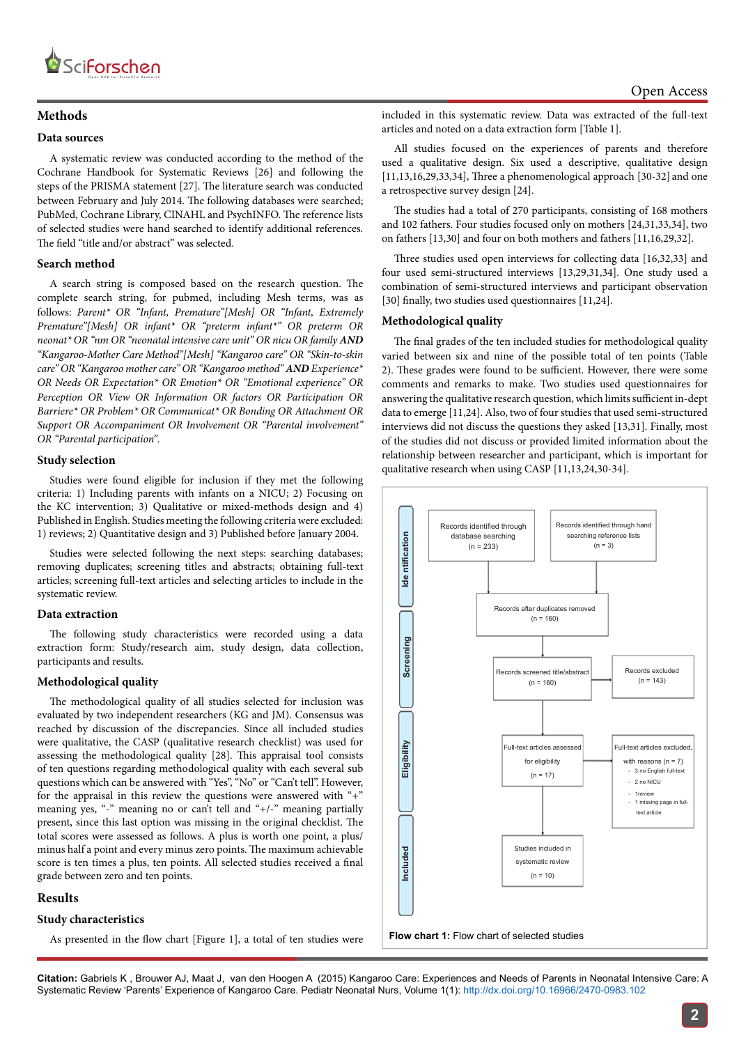

# **Methods**

#### **Data sources**

A systematic review was conducted according to the method of the Cochrane Handbook for Systematic Reviews [26] and following the steps of the PRISMA statement [27]. The literature search was conducted between February and July 2014. The following databases were searched; PubMed, Cochrane Library, CINAHL and PsychINFO. The reference lists of selected studies were hand searched to identify additional references. The field "title and/or abstract" was selected.

#### **Search method**

A search string is composed based on the research question. The complete search string, for pubmed, including Mesh terms, was as follows: *Parent\* OR "Infant, Premature"[Mesh] OR "Infant, Extremely Premature"[Mesh] OR infant\* OR "preterm infant\*" OR preterm OR neonat\* OR "nm OR "neonatal intensive care unit" OR nicu OR family AND "Kangaroo-Mother Care Method"[Mesh] "Kangaroo care" OR "Skin-to-skin care" OR "Kangaroo mother care" OR "Kangaroo method" AND Experience\* OR Needs OR Expectation\* OR Emotion\* OR "Emotional experience" OR Perception OR View OR Information OR factors OR Participation OR Barriere\* OR Problem\* OR Communicat\* OR Bonding OR Attachment OR Support OR Accompaniment OR Involvement OR "Parental involvement" OR "Parental participation".* 

## **Study selection**

Studies were found eligible for inclusion if they met the following criteria: 1) Including parents with infants on a NICU; 2) Focusing on the KC intervention; 3) Qualitative or mixed-methods design and 4) Published in English. Studies meeting the following criteria were excluded: 1) reviews; 2) Quantitative design and 3) Published before January 2004.

Studies were selected following the next steps: searching databases; removing duplicates; screening titles and abstracts; obtaining full-text articles; screening full-text articles and selecting articles to include in the systematic review.

#### **Data extraction**

The following study characteristics were recorded using a data extraction form: Study/research aim, study design, data collection, participants and results.

#### **Methodological quality**

The methodological quality of all studies selected for inclusion was evaluated by two independent researchers (KG and JM). Consensus was reached by discussion of the discrepancies. Since all included studies were qualitative, the CASP (qualitative research checklist) was used for assessing the methodological quality [28]. This appraisal tool consists of ten questions regarding methodological quality with each several sub questions which can be answered with "Yes", "No" or "Can't tell". However, for the appraisal in this review the questions were answered with "+" meaning yes, "-" meaning no or can't tell and "+/-" meaning partially present, since this last option was missing in the original checklist. The total scores were assessed as follows. A plus is worth one point, a plus/ minus half a point and every minus zero points. The maximum achievable score is ten times a plus, ten points. All selected studies received a final grade between zero and ten points.

## **Results**

## **Study characteristics**

As presented in the flow chart [Figure 1], a total of ten studies were

included in this systematic review. Data was extracted of the full-text articles and noted on a data extraction form [Table 1].

All studies focused on the experiences of parents and therefore used a qualitative design. Six used a descriptive, qualitative design [11,13,16,29,33,34], Three a phenomenological approach [30-32] and one a retrospective survey design [24].

The studies had a total of 270 participants, consisting of 168 mothers and 102 fathers. Four studies focused only on mothers [24,31,33,34], two on fathers [13,30] and four on both mothers and fathers [11,16,29,32].

Three studies used open interviews for collecting data [16,32,33] and four used semi-structured interviews [13,29,31,34]. One study used a combination of semi-structured interviews and participant observation [30] finally, two studies used questionnaires [11,24].

# **Methodological quality**

The final grades of the ten included studies for methodological quality varied between six and nine of the possible total of ten points (Table 2). These grades were found to be sufficient. However, there were some comments and remarks to make. Two studies used questionnaires for answering the qualitative research question, which limits sufficient in-dept data to emerge [11,24]. Also, two of four studies that used semi-structured interviews did not discuss the questions they asked [13,31]. Finally, most of the studies did not discuss or provided limited information about the relationship between researcher and participant, which is important for qualitative research when using CASP [11,13,24,30-34].

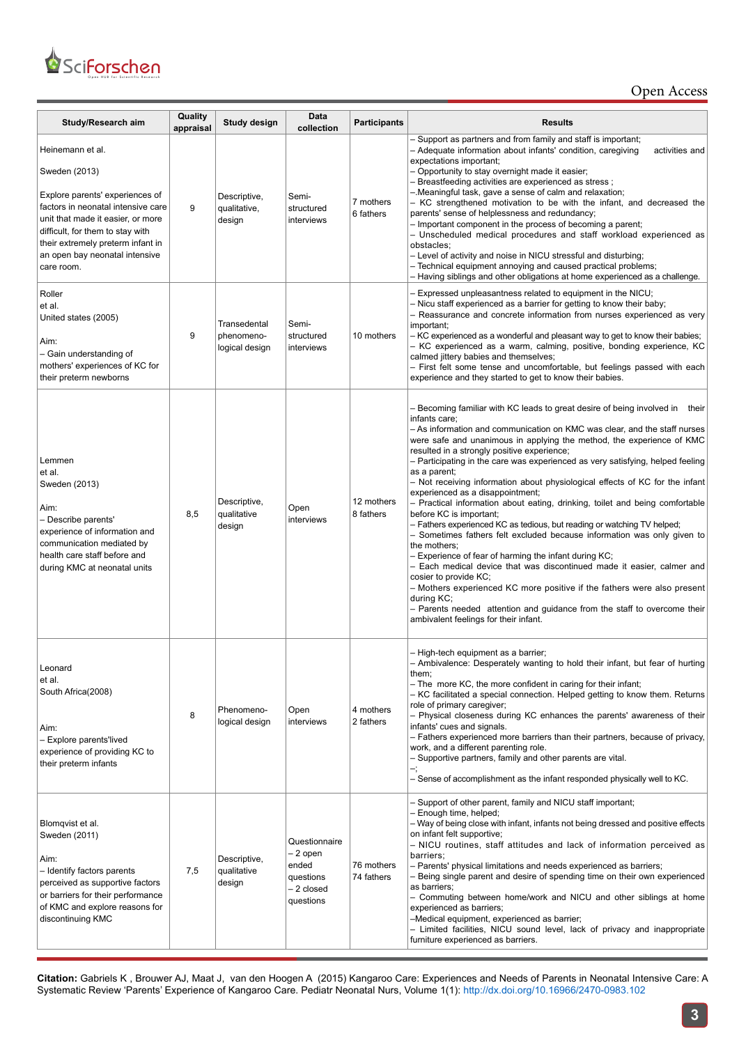

Open Access

| Study/Research aim                                                                                                                                                                                                                                                       | Quality<br>appraisal | Study design                                 | Data<br>collection                                                         | <b>Participants</b>      | <b>Results</b>                                                                                                                                                                                                                                                                                                                                                                                                                                                                                                                                                                                                                                                                                                                                                                                                                                                                                                                                                                                                                                                                                                                                                                      |  |  |  |  |
|--------------------------------------------------------------------------------------------------------------------------------------------------------------------------------------------------------------------------------------------------------------------------|----------------------|----------------------------------------------|----------------------------------------------------------------------------|--------------------------|-------------------------------------------------------------------------------------------------------------------------------------------------------------------------------------------------------------------------------------------------------------------------------------------------------------------------------------------------------------------------------------------------------------------------------------------------------------------------------------------------------------------------------------------------------------------------------------------------------------------------------------------------------------------------------------------------------------------------------------------------------------------------------------------------------------------------------------------------------------------------------------------------------------------------------------------------------------------------------------------------------------------------------------------------------------------------------------------------------------------------------------------------------------------------------------|--|--|--|--|
| Heinemann et al.<br>Sweden (2013)<br>Explore parents' experiences of<br>factors in neonatal intensive care<br>unit that made it easier, or more<br>difficult, for them to stay with<br>their extremely preterm infant in<br>an open bay neonatal intensive<br>care room. | 9                    | Descriptive,<br>qualitative,<br>design       | Semi-<br>structured<br>interviews                                          | 7 mothers<br>6 fathers   | - Support as partners and from family and staff is important;<br>- Adequate information about infants' condition, caregiving<br>activities and<br>expectations important;<br>- Opportunity to stay overnight made it easier;<br>- Breastfeeding activities are experienced as stress;<br>-.Meaningful task, gave a sense of calm and relaxation;<br>- KC strengthened motivation to be with the infant, and decreased the<br>parents' sense of helplessness and redundancy;<br>- Important component in the process of becoming a parent;<br>- Unscheduled medical procedures and staff workload experienced as<br>obstacles;<br>- Level of activity and noise in NICU stressful and disturbing;<br>- Technical equipment annoying and caused practical problems;<br>- Having siblings and other obligations at home experienced as a challenge.                                                                                                                                                                                                                                                                                                                                    |  |  |  |  |
| Roller<br>et al.<br>United states (2005)<br>Aim:<br>- Gain understanding of<br>mothers' experiences of KC for<br>their preterm newborns                                                                                                                                  | 9                    | Transedental<br>phenomeno-<br>logical design | Semi-<br>structured<br>interviews                                          | 10 mothers               | - Expressed unpleasantness related to equipment in the NICU;<br>- Nicu staff experienced as a barrier for getting to know their baby;<br>- Reassurance and concrete information from nurses experienced as very<br>important;<br>- KC experienced as a wonderful and pleasant way to get to know their babies;<br>- KC experienced as a warm, calming, positive, bonding experience, KC<br>calmed jittery babies and themselves;<br>- First felt some tense and uncomfortable, but feelings passed with each<br>experience and they started to get to know their babies.                                                                                                                                                                                                                                                                                                                                                                                                                                                                                                                                                                                                            |  |  |  |  |
| Lemmen<br>et al.<br>Sweden (2013)<br>Aim:<br>- Describe parents'<br>experience of information and<br>communication mediated by<br>health care staff before and<br>during KMC at neonatal units                                                                           | 8,5                  | Descriptive,<br>qualitative<br>design        | Open<br>interviews                                                         | 12 mothers<br>8 fathers  | – Becoming familiar with KC leads to great desire of being involved in their<br>infants care;<br>- As information and communication on KMC was clear, and the staff nurses<br>were safe and unanimous in applying the method, the experience of KMC<br>resulted in a strongly positive experience;<br>– Participating in the care was experienced as very satisfying, helped feeling<br>as a parent;<br>- Not receiving information about physiological effects of KC for the infant<br>experienced as a disappointment;<br>- Practical information about eating, drinking, toilet and being comfortable<br>before KC is important;<br>- Fathers experienced KC as tedious, but reading or watching TV helped;<br>- Sometimes fathers felt excluded because information was only given to<br>the mothers;<br>- Experience of fear of harming the infant during KC;<br>- Each medical device that was discontinued made it easier, calmer and<br>cosier to provide KC;<br>- Mothers experienced KC more positive if the fathers were also present<br>during KC;<br>- Parents needed attention and guidance from the staff to overcome their<br>ambivalent feelings for their infant. |  |  |  |  |
| Leonard<br>et al.<br>South Africa(2008)<br>Aim:<br>- Explore parents'lived<br>experience of providing KC to<br>their preterm infants                                                                                                                                     | 8                    | Phenomeno-<br>logical design                 | Open<br>interviews                                                         | 4 mothers<br>2 fathers   | - High-tech equipment as a barrier;<br>- Ambivalence: Desperately wanting to hold their infant, but fear of hurting<br>them;<br>- The more KC, the more confident in caring for their infant;<br>- KC facilitated a special connection. Helped getting to know them. Returns<br>role of primary caregiver;<br>- Physical closeness during KC enhances the parents' awareness of their<br>infants' cues and signals.<br>- Fathers experienced more barriers than their partners, because of privacy,<br>work, and a different parenting role.<br>- Supportive partners, family and other parents are vital.<br>- Sense of accomplishment as the infant responded physically well to KC.                                                                                                                                                                                                                                                                                                                                                                                                                                                                                              |  |  |  |  |
| Blomqvist et al.<br>Sweden (2011)<br>Aim:<br>– Identify factors parents<br>perceived as supportive factors<br>or barriers for their performance<br>of KMC and explore reasons for<br>discontinuing KMC                                                                   | 7,5                  | Descriptive,<br>qualitative<br>design        | Questionnaire<br>- 2 open<br>ended<br>questions<br>- 2 closed<br>questions | 76 mothers<br>74 fathers | - Support of other parent, family and NICU staff important;<br>- Enough time, helped;<br>- Way of being close with infant, infants not being dressed and positive effects<br>on infant felt supportive;<br>- NICU routines, staff attitudes and lack of information perceived as<br>barriers;<br>- Parents' physical limitations and needs experienced as barriers;<br>- Being single parent and desire of spending time on their own experienced<br>as barriers;<br>- Commuting between home/work and NICU and other siblings at home<br>experienced as barriers;<br>-Medical equipment, experienced as barrier;<br>- Limited facilities, NICU sound level, lack of privacy and inappropriate<br>furniture experienced as barriers.                                                                                                                                                                                                                                                                                                                                                                                                                                                |  |  |  |  |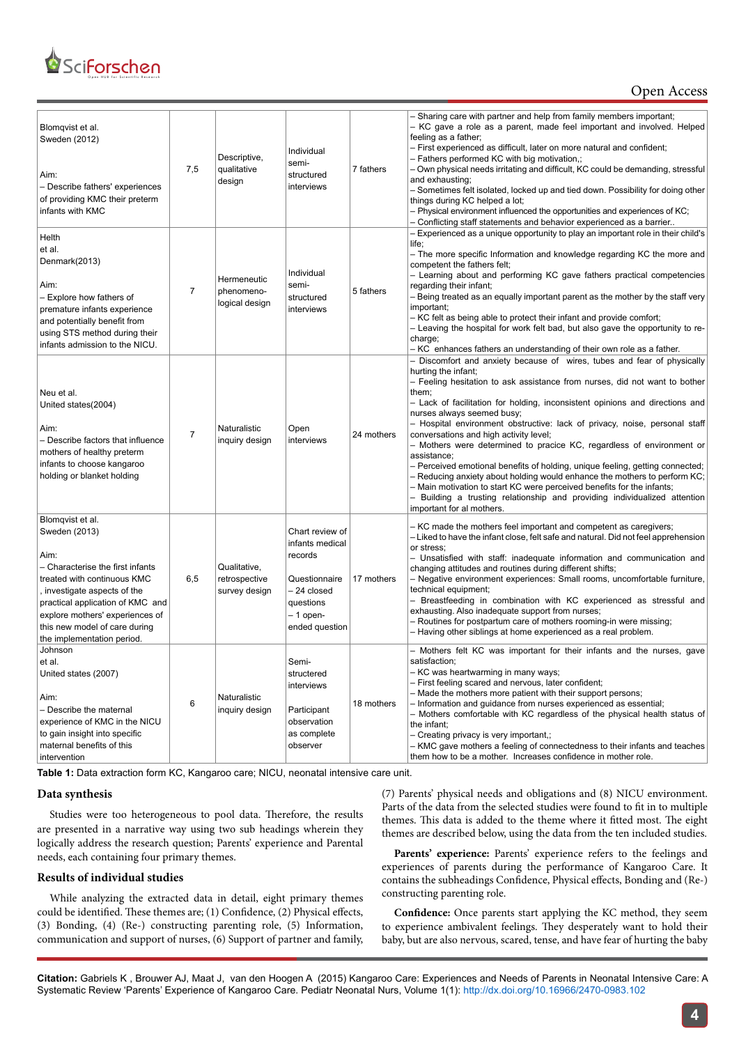

| Blomqvist et al.<br>Sweden (2012)<br>Aim:<br>- Describe fathers' experiences<br>of providing KMC their preterm<br>infants with KMC                                                                                                                                                 | 7,5            | Descriptive,<br>qualitative<br>design          | Individual<br>semi-<br>structured<br>interviews                                                                           | 7 fathers  | - Sharing care with partner and help from family members important;<br>- KC gave a role as a parent, made feel important and involved. Helped<br>feeling as a father;<br>- First experienced as difficult, later on more natural and confident;<br>- Fathers performed KC with big motivation,;<br>– Own physical needs irritating and difficult, KC could be demanding, stressful<br>and exhausting;<br>- Sometimes felt isolated, locked up and tied down. Possibility for doing other<br>things during KC helped a lot;<br>- Physical environment influenced the opportunities and experiences of KC;<br>- Conflicting staff statements and behavior experienced as a barrier                                                                                                                                                                                      |
|------------------------------------------------------------------------------------------------------------------------------------------------------------------------------------------------------------------------------------------------------------------------------------|----------------|------------------------------------------------|---------------------------------------------------------------------------------------------------------------------------|------------|-----------------------------------------------------------------------------------------------------------------------------------------------------------------------------------------------------------------------------------------------------------------------------------------------------------------------------------------------------------------------------------------------------------------------------------------------------------------------------------------------------------------------------------------------------------------------------------------------------------------------------------------------------------------------------------------------------------------------------------------------------------------------------------------------------------------------------------------------------------------------|
| Helth<br>et al.<br>Denmark(2013)<br>Aim:<br>– Explore how fathers of<br>premature infants experience<br>and potentially benefit from<br>using STS method during their<br>infants admission to the NICU.                                                                            | 7              | Hermeneutic<br>phenomeno-<br>logical design    | Individual<br>semi-<br>structured<br>interviews                                                                           | 5 fathers  | - Experienced as a unique opportunity to play an important role in their child's<br>life;<br>- The more specific Information and knowledge regarding KC the more and<br>competent the fathers felt;<br>- Learning about and performing KC gave fathers practical competencies<br>regarding their infant;<br>- Being treated as an equally important parent as the mother by the staff very<br>important;<br>– KC felt as being able to protect their infant and provide comfort;<br>- Leaving the hospital for work felt bad, but also gave the opportunity to re-<br>charge;<br>- KC enhances fathers an understanding of their own role as a father.                                                                                                                                                                                                                |
| Neu et al.<br>United states(2004)<br>Aim:<br>- Describe factors that influence<br>mothers of healthy preterm<br>infants to choose kangaroo<br>holding or blanket holding                                                                                                           | $\overline{7}$ | Naturalistic<br>inquiry design                 | Open<br>interviews                                                                                                        | 24 mothers | - Discomfort and anxiety because of wires, tubes and fear of physically<br>hurting the infant;<br>- Feeling hesitation to ask assistance from nurses, did not want to bother<br>them;<br>- Lack of facilitation for holding, inconsistent opinions and directions and<br>nurses always seemed busy;<br>- Hospital environment obstructive: lack of privacy, noise, personal staff<br>conversations and high activity level;<br>- Mothers were determined to pracice KC, regardless of environment or<br>assistance:<br>- Perceived emotional benefits of holding, unique feeling, getting connected;<br>- Reducing anxiety about holding would enhance the mothers to perform KC;<br>- Main motivation to start KC were perceived benefits for the infants;<br>- Building a trusting relationship and providing individualized attention<br>important for al mothers. |
| Blomqvist et al.<br>Sweden (2013)<br>Aim:<br>- Characterise the first infants<br>treated with continuous KMC<br>, investigate aspects of the<br>practical application of KMC and<br>explore mothers' experiences of<br>this new model of care during<br>the implementation period. | 6,5            | Qualitative,<br>retrospective<br>survey design | Chart review of<br>infants medical<br>records<br>Questionnaire<br>- 24 closed<br>questions<br>- 1 open-<br>ended question | 17 mothers | - KC made the mothers feel important and competent as caregivers;<br>- Liked to have the infant close, felt safe and natural. Did not feel apprehension<br>or stress:<br>- Unsatisfied with staff: inadequate information and communication and<br>changing attitudes and routines during different shifts;<br>- Negative environment experiences: Small rooms, uncomfortable furniture,<br>technical equipment;<br>- Breastfeeding in combination with KC experienced as stressful and<br>exhausting. Also inadequate support from nurses;<br>- Routines for postpartum care of mothers rooming-in were missing;<br>- Having other siblings at home experienced as a real problem.                                                                                                                                                                                   |
| Johnson<br>et al.<br>United states (2007)<br>Aim:<br>- Describe the maternal<br>experience of KMC in the NICU<br>to gain insight into specific<br>maternal benefits of this<br>intervention                                                                                        | 6              | Naturalistic<br>inquiry design                 | Semi-<br>structered<br>interviews<br>Participant<br>observation<br>as complete<br>observer                                | 18 mothers | - Mothers felt KC was important for their infants and the nurses, gave<br>satisfaction;<br>- KC was heartwarming in many ways;<br>- First feeling scared and nervous, later confident;<br>- Made the mothers more patient with their support persons;<br>- Information and guidance from nurses experienced as essential;<br>- Mothers comfortable with KC regardless of the physical health status of<br>the infant:<br>- Creating privacy is very important,;<br>- KMC gave mothers a feeling of connectedness to their infants and teaches<br>them how to be a mother. Increases confidence in mother role.                                                                                                                                                                                                                                                        |

**Table 1:** Data extraction form KC, Kangaroo care; NICU, neonatal intensive care unit.

## **Data synthesis**

Studies were too heterogeneous to pool data. Therefore, the results are presented in a narrative way using two sub headings wherein they logically address the research question; Parents' experience and Parental needs, each containing four primary themes.

## **Results of individual studies**

While analyzing the extracted data in detail, eight primary themes could be identified. These themes are; (1) Confidence, (2) Physical effects, (3) Bonding, (4) (Re-) constructing parenting role, (5) Information, communication and support of nurses, (6) Support of partner and family, (7) Parents' physical needs and obligations and (8) NICU environment. Parts of the data from the selected studies were found to fit in to multiple themes. This data is added to the theme where it fitted most. The eight themes are described below, using the data from the ten included studies.

Parents' experience: Parents' experience refers to the feelings and experiences of parents during the performance of Kangaroo Care. It contains the subheadings Confidence, Physical effects, Bonding and (Re-) constructing parenting role.

**Confidence:** Once parents start applying the KC method, they seem to experience ambivalent feelings. They desperately want to hold their baby, but are also nervous, scared, tense, and have fear of hurting the baby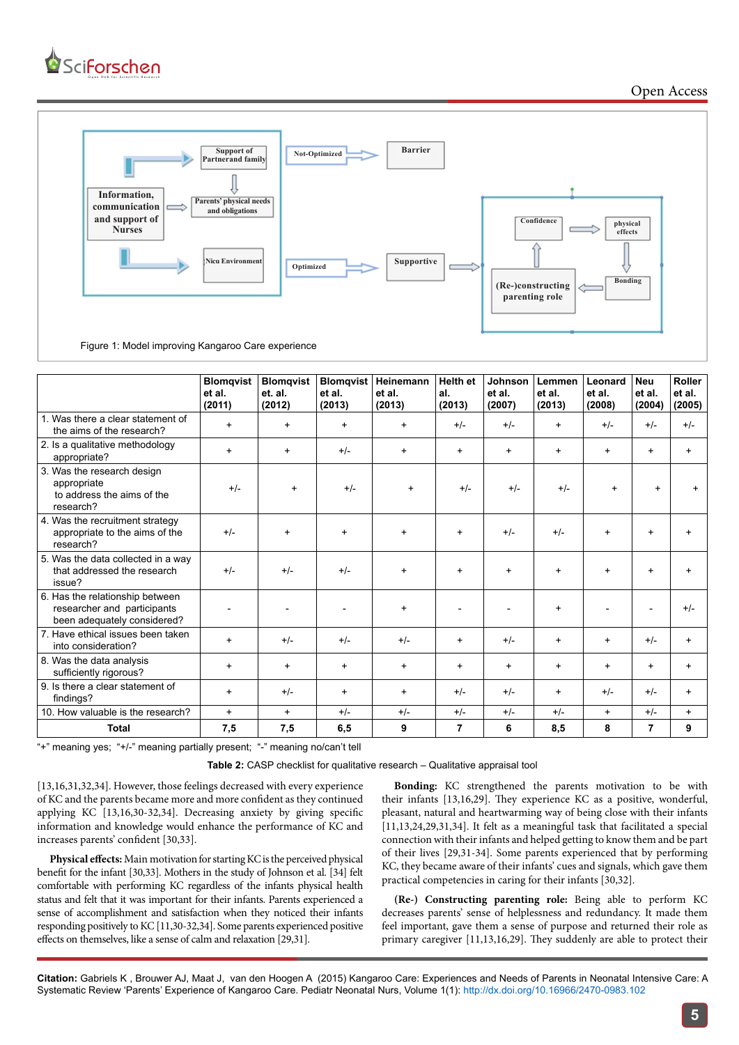

Open Access



|                                                                                               | <b>Blomqvist</b><br>et al.<br>(2011) | <b>Blomgvist</b><br>et. al.<br>(2012) | <b>Blomgvist</b><br>et al.<br>(2013) | Heinemann<br>et al.<br>(2013) | <b>Helth et</b><br>al.<br>(2013) | Johnson<br>et al.<br>(2007) | Lemmen<br>et al.<br>(2013) | Leonard<br>et al.<br>(2008) | <b>Neu</b><br>et al.<br>(2004) | <b>Roller</b><br>et al.<br>(2005) |
|-----------------------------------------------------------------------------------------------|--------------------------------------|---------------------------------------|--------------------------------------|-------------------------------|----------------------------------|-----------------------------|----------------------------|-----------------------------|--------------------------------|-----------------------------------|
| 1. Was there a clear statement of<br>the aims of the research?                                | $\ddot{}$                            | $\ddot{}$                             | $\ddot{}$                            | $+$                           | $+/-$                            | $+/-$                       | $\ddot{}$                  | $+/-$                       | $+/-$                          | $+/-$                             |
| 2. Is a qualitative methodology<br>appropriate?                                               | $\ddot{}$                            | $\ddot{}$                             | $+/-$                                | $\ddot{}$                     | $+$                              | $\ddot{}$                   | $\ddot{}$                  | $\ddot{}$                   | $\ddot{}$                      | $\ddot{}$                         |
| 3. Was the research design<br>appropriate<br>to address the aims of the<br>research?          | $+/-$                                | $\ddot{}$                             | $+/-$                                | $+$                           | $+/-$                            | $+/-$                       | $+/-$                      | $\ddot{}$                   | $+$                            |                                   |
| 4. Was the recruitment strategy<br>appropriate to the aims of the<br>research?                | $+/-$                                | $\ddot{}$                             | $\ddot{}$                            | $\ddot{}$                     | $\ddot{}$                        | $+/-$                       | $+/-$                      | $\ddot{}$                   | $\ddot{}$                      | $\ddot{}$                         |
| 5. Was the data collected in a way<br>that addressed the research<br>issue?                   | $+/-$                                | $+/-$                                 | $+/-$                                | $+$                           | $+$                              | $\ddot{}$                   | $\ddot{}$                  | $\ddot{}$                   | $\ddot{}$                      | $\ddot{}$                         |
| 6. Has the relationship between<br>researcher and participants<br>been adequately considered? |                                      |                                       |                                      | $+$                           |                                  |                             | $\ddot{}$                  |                             |                                | $+/-$                             |
| 7. Have ethical issues been taken<br>into consideration?                                      | $\ddot{}$                            | $+/-$                                 | $+/-$                                | $+/-$                         | $\ddot{}$                        | $+/-$                       | $\ddot{}$                  | $\ddot{}$                   | $+/-$                          | $\ddot{}$                         |
| 8. Was the data analysis<br>sufficiently rigorous?                                            | $\ddot{}$                            | $\ddot{}$                             | $\ddot{}$                            | $\ddot{}$                     | $\ddot{}$                        | $\ddot{}$                   | $\ddot{}$                  | $\ddot{}$                   | $\ddot{}$                      | $\ddot{}$                         |
| 9. Is there a clear statement of<br>findings?                                                 | $\ddot{}$                            | $+/-$                                 | $\ddot{}$                            | $\ddot{}$                     | $+/-$                            | $+/-$                       | $\ddot{}$                  | $+/-$                       | $+/-$                          | $\ddot{}$                         |
| 10. How valuable is the research?                                                             | $+$                                  | $+$                                   | $+/-$                                | $+/-$                         | $+/-$                            | $+/-$                       | $+/-$                      | $+$                         | $+/-$                          | $+$                               |
| <b>Total</b>                                                                                  | 7.5                                  | 7,5                                   | 6,5                                  | 9                             | 7                                | 6                           | 8,5                        | 8                           | $\overline{7}$                 | 9                                 |

"+" meaning yes; "+/-" meaning partially present; "-" meaning no/can't tell

**Table 2:** CASP checklist for qualitative research – Qualitative appraisal tool

[13,16,31,32,34]. However, those feelings decreased with every experience of KC and the parents became more and more confident as they continued applying KC [13,16,30-32,34]. Decreasing anxiety by giving specific information and knowledge would enhance the performance of KC and increases parents' confident [30,33].

**Physical effects:** Main motivation for starting KC is the perceived physical benefit for the infant [30,33]. Mothers in the study of Johnson et al. [34] felt comfortable with performing KC regardless of the infants physical health status and felt that it was important for their infants. Parents experienced a sense of accomplishment and satisfaction when they noticed their infants responding positively to KC [11,30-32,34]. Some parents experienced positive effects on themselves, like a sense of calm and relaxation [29,31].

**Bonding:** KC strengthened the parents motivation to be with their infants [13,16,29]. They experience KC as a positive, wonderful, pleasant, natural and heartwarming way of being close with their infants [11,13,24,29,31,34]. It felt as a meaningful task that facilitated a special connection with their infants and helped getting to know them and be part of their lives [29,31-34]. Some parents experienced that by performing KC, they became aware of their infants' cues and signals, which gave them practical competencies in caring for their infants [30,32].

**(Re-) Constructing parenting role:** Being able to perform KC decreases parents' sense of helplessness and redundancy. It made them feel important, gave them a sense of purpose and returned their role as primary caregiver [11,13,16,29]. They suddenly are able to protect their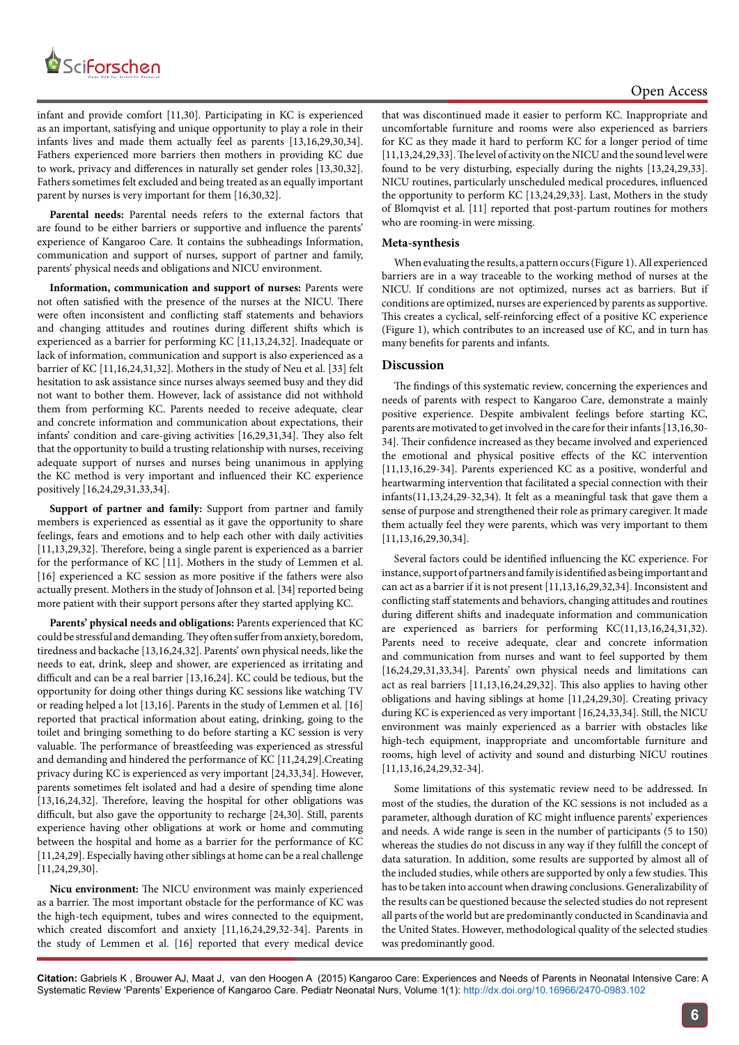

infant and provide comfort [11,30]. Participating in KC is experienced as an important, satisfying and unique opportunity to play a role in their infants lives and made them actually feel as parents [13,16,29,30,34]. Fathers experienced more barriers then mothers in providing KC due to work, privacy and differences in naturally set gender roles [13,30,32]. Fathers sometimes felt excluded and being treated as an equally important parent by nurses is very important for them [16,30,32].

Parental needs: Parental needs refers to the external factors that are found to be either barriers or supportive and influence the parents' experience of Kangaroo Care. It contains the subheadings Information, communication and support of nurses, support of partner and family, parents' physical needs and obligations and NICU environment.

**Information, communication and support of nurses:** Parents were not often satisfied with the presence of the nurses at the NICU. There were often inconsistent and conflicting staff statements and behaviors and changing attitudes and routines during different shifts which is experienced as a barrier for performing KC [11,13,24,32]. Inadequate or lack of information, communication and support is also experienced as a barrier of KC [11,16,24,31,32]. Mothers in the study of Neu et al. [33] felt hesitation to ask assistance since nurses always seemed busy and they did not want to bother them. However, lack of assistance did not withhold them from performing KC. Parents needed to receive adequate, clear and concrete information and communication about expectations, their infants' condition and care-giving activities [16,29,31,34]. They also felt that the opportunity to build a trusting relationship with nurses, receiving adequate support of nurses and nurses being unanimous in applying the KC method is very important and influenced their KC experience positively [16,24,29,31,33,34].

**Support of partner and family:** Support from partner and family members is experienced as essential as it gave the opportunity to share feelings, fears and emotions and to help each other with daily activities [11,13,29,32]. Therefore, being a single parent is experienced as a barrier for the performance of KC [11]. Mothers in the study of Lemmen et al. [16] experienced a KC session as more positive if the fathers were also actually present. Mothers in the study of Johnson et al. [34] reported being more patient with their support persons after they started applying KC.

**Parents' physical needs and obligations:** Parents experienced that KC could be stressful and demanding. They often suffer from anxiety, boredom, tiredness and backache [13,16,24,32]. Parents' own physical needs, like the needs to eat, drink, sleep and shower, are experienced as irritating and difficult and can be a real barrier [13,16,24]. KC could be tedious, but the opportunity for doing other things during KC sessions like watching TV or reading helped a lot [13,16]. Parents in the study of Lemmen et al. [16] reported that practical information about eating, drinking, going to the toilet and bringing something to do before starting a KC session is very valuable. The performance of breastfeeding was experienced as stressful and demanding and hindered the performance of KC [11,24,29].Creating privacy during KC is experienced as very important [24,33,34]. However, parents sometimes felt isolated and had a desire of spending time alone [13,16,24,32]. Therefore, leaving the hospital for other obligations was difficult, but also gave the opportunity to recharge [24,30]. Still, parents experience having other obligations at work or home and commuting between the hospital and home as a barrier for the performance of KC [11,24,29]. Especially having other siblings at home can be a real challenge [11,24,29,30].

**Nicu environment:** The NICU environment was mainly experienced as a barrier. The most important obstacle for the performance of KC was the high-tech equipment, tubes and wires connected to the equipment, which created discomfort and anxiety [11,16,24,29,32-34]. Parents in the study of Lemmen et al. [16] reported that every medical device

that was discontinued made it easier to perform KC. Inappropriate and uncomfortable furniture and rooms were also experienced as barriers for KC as they made it hard to perform KC for a longer period of time [11,13,24,29,33]. The level of activity on the NICU and the sound level were found to be very disturbing, especially during the nights [13,24,29,33]. NICU routines, particularly unscheduled medical procedures, influenced the opportunity to perform KC [13,24,29,33]. Last, Mothers in the study of Blomqvist et al. [11] reported that post-partum routines for mothers who are rooming-in were missing.

#### **Meta-synthesis**

When evaluating the results, a pattern occurs (Figure 1). All experienced barriers are in a way traceable to the working method of nurses at the NICU. If conditions are not optimized, nurses act as barriers. But if conditions are optimized, nurses are experienced by parents as supportive. This creates a cyclical, self-reinforcing effect of a positive KC experience (Figure 1), which contributes to an increased use of KC, and in turn has many benefits for parents and infants.

## **Discussion**

The findings of this systematic review, concerning the experiences and needs of parents with respect to Kangaroo Care, demonstrate a mainly positive experience. Despite ambivalent feelings before starting KC, parents are motivated to get involved in the care for their infants [13,16,30- 34]. Their confidence increased as they became involved and experienced the emotional and physical positive effects of the KC intervention [11,13,16,29-34]. Parents experienced KC as a positive, wonderful and heartwarming intervention that facilitated a special connection with their infants(11,13,24,29-32,34). It felt as a meaningful task that gave them a sense of purpose and strengthened their role as primary caregiver. It made them actually feel they were parents, which was very important to them [11,13,16,29,30,34].

Several factors could be identified influencing the KC experience. For instance, support of partners and family is identified as being important and can act as a barrier if it is not present [11,13,16,29,32,34]. Inconsistent and conflicting staff statements and behaviors, changing attitudes and routines during different shifts and inadequate information and communication are experienced as barriers for performing KC(11,13,16,24,31,32). Parents need to receive adequate, clear and concrete information and communication from nurses and want to feel supported by them [16,24,29,31,33,34]. Parents' own physical needs and limitations can act as real barriers [11,13,16,24,29,32]. This also applies to having other obligations and having siblings at home [11,24,29,30]. Creating privacy during KC is experienced as very important [16,24,33,34]. Still, the NICU environment was mainly experienced as a barrier with obstacles like high-tech equipment, inappropriate and uncomfortable furniture and rooms, high level of activity and sound and disturbing NICU routines [11,13,16,24,29,32-34].

Some limitations of this systematic review need to be addressed. In most of the studies, the duration of the KC sessions is not included as a parameter, although duration of KC might influence parents' experiences and needs. A wide range is seen in the number of participants (5 to 150) whereas the studies do not discuss in any way if they fulfill the concept of data saturation. In addition, some results are supported by almost all of the included studies, while others are supported by only a few studies. This has to be taken into account when drawing conclusions. Generalizability of the results can be questioned because the selected studies do not represent all parts of the world but are predominantly conducted in Scandinavia and the United States. However, methodological quality of the selected studies was predominantly good.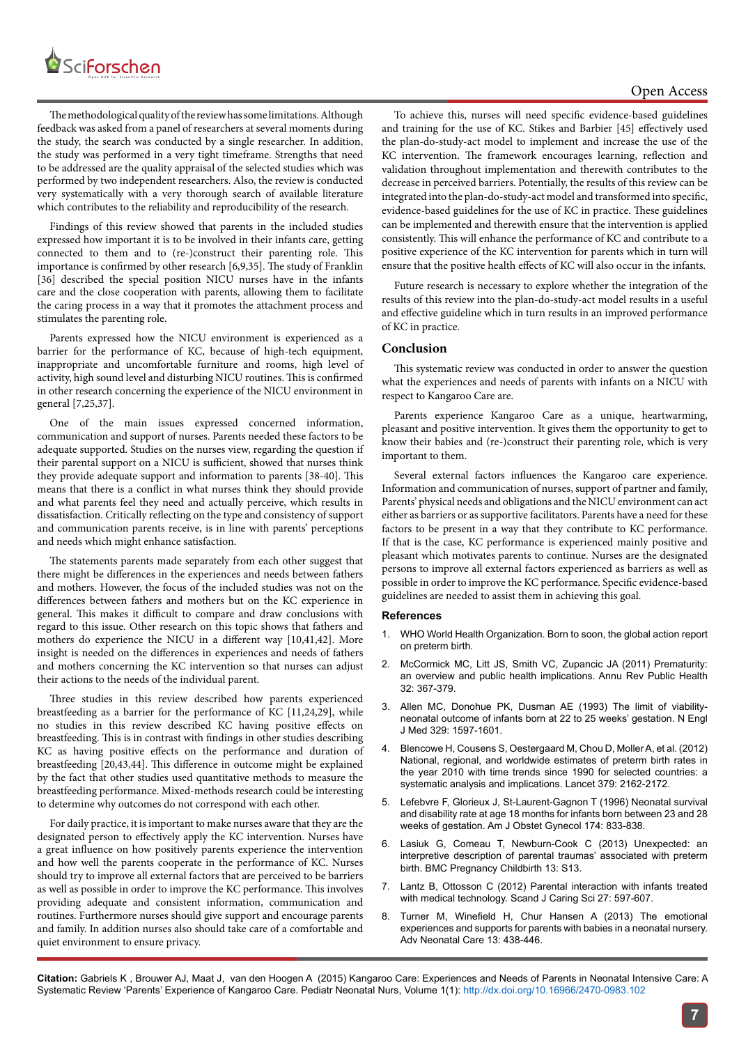

The methodological quality of the review has some limitations. Although feedback was asked from a panel of researchers at several moments during the study, the search was conducted by a single researcher. In addition, the study was performed in a very tight timeframe. Strengths that need to be addressed are the quality appraisal of the selected studies which was performed by two independent researchers. Also, the review is conducted very systematically with a very thorough search of available literature which contributes to the reliability and reproducibility of the research.

Findings of this review showed that parents in the included studies expressed how important it is to be involved in their infants care, getting connected to them and to (re-)construct their parenting role. This importance is confirmed by other research [6,9,35]. The study of Franklin [36] described the special position NICU nurses have in the infants care and the close cooperation with parents, allowing them to facilitate the caring process in a way that it promotes the attachment process and stimulates the parenting role.

Parents expressed how the NICU environment is experienced as a barrier for the performance of KC, because of high-tech equipment, inappropriate and uncomfortable furniture and rooms, high level of activity, high sound level and disturbing NICU routines. This is confirmed in other research concerning the experience of the NICU environment in general [7,25,37].

One of the main issues expressed concerned information, communication and support of nurses. Parents needed these factors to be adequate supported. Studies on the nurses view, regarding the question if their parental support on a NICU is sufficient, showed that nurses think they provide adequate support and information to parents [38-40]. This means that there is a conflict in what nurses think they should provide and what parents feel they need and actually perceive, which results in dissatisfaction. Critically reflecting on the type and consistency of support and communication parents receive, is in line with parents' perceptions and needs which might enhance satisfaction.

The statements parents made separately from each other suggest that there might be differences in the experiences and needs between fathers and mothers. However, the focus of the included studies was not on the differences between fathers and mothers but on the KC experience in general. This makes it difficult to compare and draw conclusions with regard to this issue. Other research on this topic shows that fathers and mothers do experience the NICU in a different way [10,41,42]. More insight is needed on the differences in experiences and needs of fathers and mothers concerning the KC intervention so that nurses can adjust their actions to the needs of the individual parent.

Three studies in this review described how parents experienced breastfeeding as a barrier for the performance of KC [11,24,29], while no studies in this review described KC having positive effects on breastfeeding. This is in contrast with findings in other studies describing KC as having positive effects on the performance and duration of breastfeeding [20,43,44]. This difference in outcome might be explained by the fact that other studies used quantitative methods to measure the breastfeeding performance. Mixed-methods research could be interesting to determine why outcomes do not correspond with each other.

For daily practice, it is important to make nurses aware that they are the designated person to effectively apply the KC intervention. Nurses have a great influence on how positively parents experience the intervention and how well the parents cooperate in the performance of KC. Nurses should try to improve all external factors that are perceived to be barriers as well as possible in order to improve the KC performance. This involves providing adequate and consistent information, communication and routines. Furthermore nurses should give support and encourage parents and family. In addition nurses also should take care of a comfortable and quiet environment to ensure privacy.

To achieve this, nurses will need specific evidence-based guidelines and training for the use of KC. Stikes and Barbier [45] effectively used the plan-do-study-act model to implement and increase the use of the KC intervention. The framework encourages learning, reflection and validation throughout implementation and therewith contributes to the decrease in perceived barriers. Potentially, the results of this review can be integrated into the plan-do-study-act model and transformed into specific, evidence-based guidelines for the use of KC in practice. These guidelines can be implemented and therewith ensure that the intervention is applied consistently. This will enhance the performance of KC and contribute to a positive experience of the KC intervention for parents which in turn will ensure that the positive health effects of KC will also occur in the infants.

Future research is necessary to explore whether the integration of the results of this review into the plan-do-study-act model results in a useful and effective guideline which in turn results in an improved performance of KC in practice.

## **Conclusion**

This systematic review was conducted in order to answer the question what the experiences and needs of parents with infants on a NICU with respect to Kangaroo Care are.

Parents experience Kangaroo Care as a unique, heartwarming, pleasant and positive intervention. It gives them the opportunity to get to know their babies and (re-)construct their parenting role, which is very important to them.

Several external factors influences the Kangaroo care experience. Information and communication of nurses, support of partner and family, Parents' physical needs and obligations and the NICU environment can act either as barriers or as supportive facilitators. Parents have a need for these factors to be present in a way that they contribute to KC performance. If that is the case, KC performance is experienced mainly positive and pleasant which motivates parents to continue. Nurses are the designated persons to improve all external factors experienced as barriers as well as possible in order to improve the KC performance. Specific evidence-based guidelines are needed to assist them in achieving this goal.

#### **References**

- 1. [WHO World Health Organization. Born to soon, the global action report](http://whqlibdoc.who.int/publications/2012/9789241503433_eng.pdf) [on preterm birth](http://whqlibdoc.who.int/publications/2012/9789241503433_eng.pdf).
- 2. [McCormick MC, Litt JS, Smith VC, Zupancic JA \(2011\) Prematurity:](http://www.ncbi.nlm.nih.gov/pubmed/21219170) [an overview and public health implications. Annu Rev Public Health](http://www.ncbi.nlm.nih.gov/pubmed/21219170) [32: 367-379.](http://www.ncbi.nlm.nih.gov/pubmed/21219170)
- 3. [Allen MC, Donohue PK, Dusman AE \(1993\) The limit of viability](http://www.ncbi.nlm.nih.gov/pubmed/8179651)[neonatal outcome of infants born at 22 to 25 weeks' gestation. N Engl](http://www.ncbi.nlm.nih.gov/pubmed/8179651) [J Med 329: 1597-1601.](http://www.ncbi.nlm.nih.gov/pubmed/8179651)
- 4. [Blencowe H, Cousens S, Oestergaard M, Chou D, Moller A, et al. \(2012\)](http://www.thelancet.com/journals/lancet/article/PIIS0140-6736(12)60820-4/abstract) [National, regional, and worldwide estimates of preterm birth rates in](http://www.thelancet.com/journals/lancet/article/PIIS0140-6736(12)60820-4/abstract) [the year 2010 with time trends since 1990 for selected countries: a](http://www.thelancet.com/journals/lancet/article/PIIS0140-6736(12)60820-4/abstract) [systematic analysis and implications. Lancet 379: 2162-2172.](http://www.thelancet.com/journals/lancet/article/PIIS0140-6736(12)60820-4/abstract)
- 5. [Lefebvre F, Glorieux J, St-Laurent-Gagnon T \(1996\) Neonatal survival](http://www.ncbi.nlm.nih.gov/pubmed/8633652) [and disability rate at age 18 months for infants born between 23 and 28](http://www.ncbi.nlm.nih.gov/pubmed/8633652) [weeks of gestation. Am J Obstet Gynecol 174: 833-838.](http://www.ncbi.nlm.nih.gov/pubmed/8633652)
- 6. [Lasiuk G, Comeau T, Newburn-Cook C \(2013\) Unexpected: an](http://www.biomedcentral.com/1471-2393/13/S1/S13) [interpretive description of parental traumas' associated with preterm](http://www.biomedcentral.com/1471-2393/13/S1/S13) [birth. BMC Pregnancy Childbirth 13: S13.](http://www.biomedcentral.com/1471-2393/13/S1/S13)
- 7. Lantz B, Ottosson C (2012) [Parental interaction with infants treated](http://onlinelibrary.wiley.com/doi/10.1111/j.1471-6712.2012.01061.x/abstract) [with medical technology. Scand J Caring Sci 27: 597-607.](http://onlinelibrary.wiley.com/doi/10.1111/j.1471-6712.2012.01061.x/abstract)
- [Turner M, Winefield H, Chur Hansen A \(2013\) The emotional](http://www.ncbi.nlm.nih.gov/pubmed/24300964) [experiences and supports for parents with babies in a neonatal nursery.](http://www.ncbi.nlm.nih.gov/pubmed/24300964) [Adv Neonatal Care 13: 438-446.](http://www.ncbi.nlm.nih.gov/pubmed/24300964)